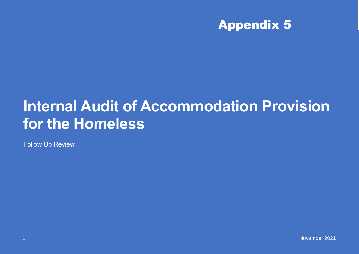## Appendix 5

# **Internal Audit of Accommodation Provision for the Homeless**

Follow Up Review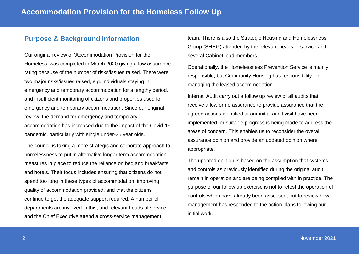#### **Purpose & Background Information**

Our original review of 'Accommodation Provision for the Homeless' was completed in March 2020 giving a low assurance rating because of the number of risks/issues raised. There were two major risks/issues raised, e.g. individuals staying in emergency and temporary accommodation for a lengthy period, and insufficient monitoring of citizens and properties used for emergency and temporary accommodation. Since our original review, the demand for emergency and temporary accommodation has increased due to the impact of the Covid-19 pandemic, particularly with single under-35 year olds.

The council is taking a more strategic and corporate approach to homelessness to put in alternative longer term accommodation measures in place to reduce the reliance on bed and breakfasts and hotels. Their focus includes ensuring that citizens do not spend too long in these types of accommodation, improving quality of accommodation provided, and that the citizens continue to get the adequate support required. A number of departments are involved in this, and relevant heads of service and the Chief Executive attend a cross-service management

team. There is also the Strategic Housing and Homelessness Group (SHHG) attended by the relevant heads of service and several Cabinet lead members.

Operationally, the Homelessness Prevention Service is mainly responsible, but Community Housing has responsibility for managing the leased accommodation.

Internal Audit carry out a follow up review of all audits that receive a low or no assurance to provide assurance that the agreed actions identified at our initial audit visit have been implemented, or suitable progress is being made to address the areas of concern. This enables us to reconsider the overall assurance opinion and provide an updated opinion where appropriate.

The updated opinion is based on the assumption that systems and controls as previously identified during the original audit remain in operation and are being complied with in practice. The purpose of our follow up exercise is not to retest the operation of controls which have already been assessed, but to review how management has responded to the action plans following our initial work.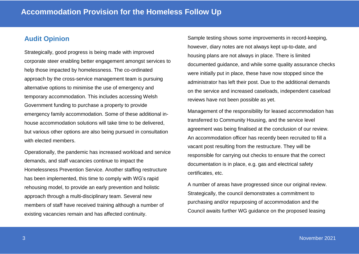#### **Audit Opinion**

Strategically, good progress is being made with improved corporate steer enabling better engagement amongst services to help those impacted by homelessness. The co-ordinated approach by the cross-service management team is pursuing alternative options to minimise the use of emergency and temporary accommodation. This includes accessing Welsh Government funding to purchase a property to provide emergency family accommodation. Some of these additional inhouse accommodation solutions will take time to be delivered, but various other options are also being pursued in consultation with elected members.

Operationally, the pandemic has increased workload and service demands, and staff vacancies continue to impact the Homelessness Prevention Service. Another staffing restructure has been implemented, this time to comply with WG's rapid rehousing model, to provide an early prevention and holistic approach through a multi-disciplinary team. Several new members of staff have received training although a number of existing vacancies remain and has affected continuity.

Sample testing shows some improvements in record-keeping, however, diary notes are not always kept up-to-date, and housing plans are not always in place. There is limited documented guidance, and while some quality assurance checks were initially put in place, these have now stopped since the administrator has left their post. Due to the additional demands on the service and increased caseloads, independent caseload reviews have not been possible as yet.

Management of the responsibility for leased accommodation has transferred to Community Housing, and the service level agreement was being finalised at the conclusion of our review. An accommodation officer has recently been recruited to fill a vacant post resulting from the restructure. They will be responsible for carrying out checks to ensure that the correct documentation is in place, e.g. gas and electrical safety certificates, etc.

A number of areas have progressed since our original review. Strategically, the council demonstrates a commitment to purchasing and/or repurposing of accommodation and the Council awaits further WG guidance on the proposed leasing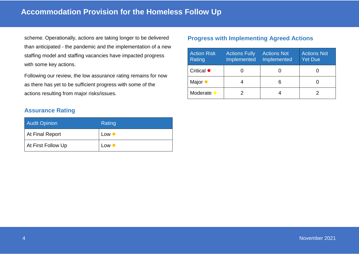scheme. Operationally, actions are taking longer to be delivered than anticipated - the pandemic and the implementation of a new staffing model and staffing vacancies have impacted progress with some key actions.

Following our review, the low assurance rating remains for now as there has yet to be sufficient progress with some of the actions resulting from major risks/issues.

#### **Assurance Rating**

| <b>Audit Opinion</b> | Rating        |
|----------------------|---------------|
| At Final Report      | Low $\bullet$ |
| At First Follow Up   | $Low \bullet$ |

#### **Progress with Implementing Agreed Actions**

| <b>Action Risk</b><br><b>Rating</b> | <b>Actions Fully</b><br>Implemented | <b>Actions Not</b><br>Implemented | <b>Actions Not</b><br><b>Yet Due</b> |
|-------------------------------------|-------------------------------------|-----------------------------------|--------------------------------------|
| Critical $\bullet$                  |                                     |                                   |                                      |
| Major $\bullet$                     |                                     |                                   |                                      |
| Moderate •                          |                                     |                                   |                                      |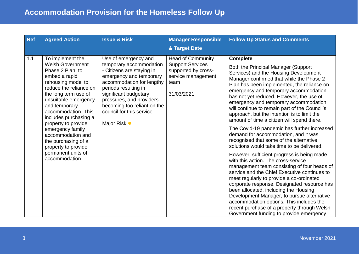| Ref | <b>Agreed Action</b>                                                                                                                                                                                                                                                                                                                                                                                   | <b>Issue &amp; Risk</b>                                                                                                                                                                                                                                                                       | <b>Manager Responsible</b>                                                                                             | <b>Follow Up Status and Comments</b>                                                                                                                                                                                                                                                                                                                                                                                                                                                                                                                                                                                                                                                                                                                                                                                                                                                                                                                                                                                                                                                                                                                              |
|-----|--------------------------------------------------------------------------------------------------------------------------------------------------------------------------------------------------------------------------------------------------------------------------------------------------------------------------------------------------------------------------------------------------------|-----------------------------------------------------------------------------------------------------------------------------------------------------------------------------------------------------------------------------------------------------------------------------------------------|------------------------------------------------------------------------------------------------------------------------|-------------------------------------------------------------------------------------------------------------------------------------------------------------------------------------------------------------------------------------------------------------------------------------------------------------------------------------------------------------------------------------------------------------------------------------------------------------------------------------------------------------------------------------------------------------------------------------------------------------------------------------------------------------------------------------------------------------------------------------------------------------------------------------------------------------------------------------------------------------------------------------------------------------------------------------------------------------------------------------------------------------------------------------------------------------------------------------------------------------------------------------------------------------------|
|     |                                                                                                                                                                                                                                                                                                                                                                                                        |                                                                                                                                                                                                                                                                                               | & Target Date                                                                                                          |                                                                                                                                                                                                                                                                                                                                                                                                                                                                                                                                                                                                                                                                                                                                                                                                                                                                                                                                                                                                                                                                                                                                                                   |
| 1.1 | To implement the<br><b>Welsh Government</b><br>Phase 2 Plan, to<br>embed a rapid<br>rehousing model to<br>reduce the reliance on<br>the long term use of<br>unsuitable emergency<br>and temporary<br>accommodation. This<br>includes purchasing a<br>property to provide<br>emergency family<br>accommodation and<br>the purchasing of a<br>property to provide<br>permanent units of<br>accommodation | Use of emergency and<br>temporary accommodation<br>- Citizens are staying in<br>emergency and temporary<br>accommodation for lengthy<br>periods resulting in<br>significant budgetary<br>pressures, and providers<br>becoming too reliant on the<br>council for this service.<br>Major Risk • | <b>Head of Community</b><br><b>Support Services</b><br>supported by cross-<br>service management<br>team<br>31/03/2021 | <b>Complete</b><br>Both the Principal Manager (Support<br>Services) and the Housing Development<br>Manager confirmed that while the Phase 2<br>Plan has been implemented, the reliance on<br>emergency and temporary accommodation<br>has not yet reduced. However, the use of<br>emergency and temporary accommodation<br>will continue to remain part of the Council's<br>approach, but the intention is to limit the<br>amount of time a citizen will spend there.<br>The Covid-19 pandemic has further increased<br>demand for accommodation, and it was<br>recognised that some of the alternative<br>solutions would take time to be delivered.<br>However, sufficient progress is being made<br>with this action. The cross-service<br>management team consisting of four heads of<br>service and the Chief Executive continues to<br>meet regularly to provide a co-ordinated<br>corporate response. Designated resource has<br>been allocated, including the Housing<br>Development Manager, to pursue alternative<br>accommodation options. This includes the<br>recent purchase of a property through Welsh<br>Government funding to provide emergency |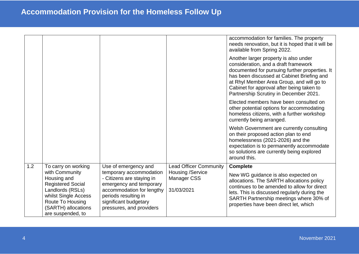|     |                                                                                                                                                                                              |                                                                                                                                                                                                                   |                                                                                       | accommodation for families. The property<br>needs renovation, but it is hoped that it will be<br>available from Spring 2022.                                                                                                                                                                                      |
|-----|----------------------------------------------------------------------------------------------------------------------------------------------------------------------------------------------|-------------------------------------------------------------------------------------------------------------------------------------------------------------------------------------------------------------------|---------------------------------------------------------------------------------------|-------------------------------------------------------------------------------------------------------------------------------------------------------------------------------------------------------------------------------------------------------------------------------------------------------------------|
|     |                                                                                                                                                                                              |                                                                                                                                                                                                                   |                                                                                       | Another larger property is also under<br>consideration, and a draft framework<br>documented for pursuing further properties. It<br>has been discussed at Cabinet Briefing and<br>at Rhyl Member Area Group, and will go to<br>Cabinet for approval after being taken to<br>Partnership Scrutiny in December 2021. |
|     |                                                                                                                                                                                              |                                                                                                                                                                                                                   |                                                                                       | Elected members have been consulted on<br>other potential options for accommodating<br>homeless citizens, with a further workshop<br>currently being arranged.                                                                                                                                                    |
|     |                                                                                                                                                                                              |                                                                                                                                                                                                                   |                                                                                       | Welsh Government are currently consulting<br>on their proposed action plan to end<br>homelessness (2021-2026) and the<br>expectation is to permanently accommodate<br>so solutions are currently being explored<br>around this.                                                                                   |
| 1.2 | To carry on working<br>with Community<br>Housing and<br><b>Registered Social</b><br>Landlords (RSLs)<br>whilst Single Access<br>Route To Housing<br>(SARTH) allocations<br>are suspended, to | Use of emergency and<br>temporary accommodation<br>- Citizens are staying in<br>emergency and temporary<br>accommodation for lengthy<br>periods resulting in<br>significant budgetary<br>pressures, and providers | <b>Lead Officer Community</b><br>Housing /Service<br><b>Manager CSS</b><br>31/03/2021 | <b>Complete</b><br>New WG guidance is also expected on<br>allocations. The SARTH allocations policy<br>continues to be amended to allow for direct<br>lets. This is discussed regularly during the<br>SARTH Partnership meetings where 30% of<br>properties have been direct let, which                           |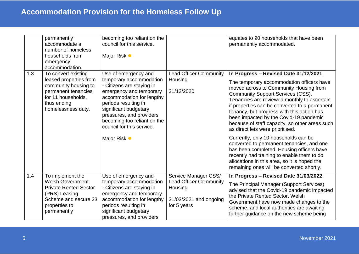|     | permanently<br>accommodate a<br>number of homeless<br>households from<br>emergency<br>accommodation.                                                    | becoming too reliant on the<br>council for this service.<br>Major Risk •                                                                                                                                                                                                                      |                                                                                                           | equates to 90 households that have been<br>permanently accommodated.                                                                                                                                                                                                                                                                                                                                                                                                                                                                                                                                                                                                                                                                |
|-----|---------------------------------------------------------------------------------------------------------------------------------------------------------|-----------------------------------------------------------------------------------------------------------------------------------------------------------------------------------------------------------------------------------------------------------------------------------------------|-----------------------------------------------------------------------------------------------------------|-------------------------------------------------------------------------------------------------------------------------------------------------------------------------------------------------------------------------------------------------------------------------------------------------------------------------------------------------------------------------------------------------------------------------------------------------------------------------------------------------------------------------------------------------------------------------------------------------------------------------------------------------------------------------------------------------------------------------------------|
| 1.3 | To convert existing<br>leased properties from<br>community housing to<br>permanent tenancies<br>for 11 households,<br>thus ending<br>homelessness duty. | Use of emergency and<br>temporary accommodation<br>- Citizens are staying in<br>emergency and temporary<br>accommodation for lengthy<br>periods resulting in<br>significant budgetary<br>pressures, and providers<br>becoming too reliant on the<br>council for this service.<br>Major Risk • | <b>Lead Officer Community</b><br>Housing<br>31/12/2020                                                    | In Progress - Revised Date 31/12/2021<br>The temporary accommodation officers have<br>moved across to Community Housing from<br><b>Community Support Services (CSS).</b><br>Tenancies are reviewed monthly to ascertain<br>if properties can be converted to a permanent<br>tenancy, but progress with this action has<br>been impacted by the Covid-19 pandemic<br>because of staff capacity, so other areas such<br>as direct lets were prioritised.<br>Currently, only 10 households can be<br>converted to permanent tenancies, and one<br>has been completed. Housing officers have<br>recently had training to enable them to do<br>allocations in this area, so it is hoped the<br>remaining ones will be converted shortly. |
| 1.4 | To implement the<br><b>Welsh Government</b><br><b>Private Rented Sector</b><br>(PRS) Leasing<br>Scheme and secure 33<br>properties to<br>permanently    | Use of emergency and<br>temporary accommodation<br>- Citizens are staying in<br>emergency and temporary<br>accommodation for lengthy<br>periods resulting in<br>significant budgetary<br>pressures, and providers                                                                             | Service Manager CSS/<br><b>Lead Officer Community</b><br>Housing<br>31/03/2021 and ongoing<br>for 5 years | In Progress - Revised Date 31/03/2022<br>The Principal Manager (Support Services)<br>advised that the Covid-19 pandemic impacted<br>the Private Rented Sector, Welsh<br>Government have now made changes to the<br>scheme, and local authorities are awaiting<br>further guidance on the new scheme being                                                                                                                                                                                                                                                                                                                                                                                                                           |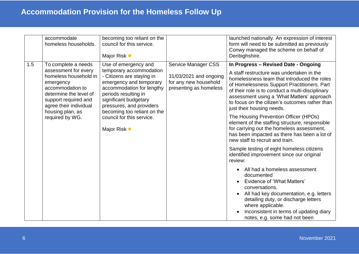|     | accommodate<br>homeless households.                                                                                                                                                                                      | becoming too reliant on the<br>council for this service.<br>Major Risk •                                                                                                                                                                                                                      |                                                                                                         | launched nationally. An expression of interest<br>form will need to be submitted as previously<br>Conwy managed the scheme on behalf of<br>Denbighshire.                                                                                                                                                                                                                                                                                                                                                                                                                                                                                                                                                                                                                                                                                                                                                                                                                                                             |
|-----|--------------------------------------------------------------------------------------------------------------------------------------------------------------------------------------------------------------------------|-----------------------------------------------------------------------------------------------------------------------------------------------------------------------------------------------------------------------------------------------------------------------------------------------|---------------------------------------------------------------------------------------------------------|----------------------------------------------------------------------------------------------------------------------------------------------------------------------------------------------------------------------------------------------------------------------------------------------------------------------------------------------------------------------------------------------------------------------------------------------------------------------------------------------------------------------------------------------------------------------------------------------------------------------------------------------------------------------------------------------------------------------------------------------------------------------------------------------------------------------------------------------------------------------------------------------------------------------------------------------------------------------------------------------------------------------|
| 1.5 | To complete a needs<br>assessment for every<br>homeless household in<br>emergency<br>accommodation to<br>determine the level of<br>support required and<br>agree their individual<br>housing plan, as<br>required by WG. | Use of emergency and<br>temporary accommodation<br>- Citizens are staying in<br>emergency and temporary<br>accommodation for lengthy<br>periods resulting in<br>significant budgetary<br>pressures, and providers<br>becoming too reliant on the<br>council for this service.<br>Major Risk • | <b>Service Manager CSS</b><br>31/03/2021 and ongoing<br>for any new household<br>presenting as homeless | In Progress - Revised Date - Ongoing<br>A staff restructure was undertaken in the<br>homelessness team that introduced the roles<br>of Homelessness Support Practitioners. Part<br>of their role is to conduct a multi-disciplinary<br>assessment using a 'What Matters' approach<br>to focus on the citizen's outcomes rather than<br>just their housing needs.<br>The Housing Prevention Officer (HPOs)<br>element of the staffing structure, responsible<br>for carrying out the homeless assessment,<br>has been impacted as there has been a lot of<br>new staff to recruit and train.<br>Sample testing of eight homeless citizens<br>identified improvement since our original<br>review:<br>All had a homeless assessment<br>$\bullet$<br>documented<br><b>Evidence of 'What Matters'</b><br>conversations.<br>All had key documentation, e.g. letters<br>$\bullet$<br>detailing duty, or discharge letters<br>where applicable.<br>Inconsistent in terms of updating diary<br>notes, e.g. some had not been |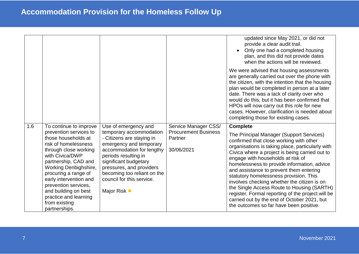|     |                                                                                                |                                                                                                              |                                                      | updated since May 2021, or did not<br>provide a clear audit trail.<br>Only one had a completed housing<br>plan, and this did not provide dates<br>when the actions will be reviewed.                                                                                                                                                                                                                                               |
|-----|------------------------------------------------------------------------------------------------|--------------------------------------------------------------------------------------------------------------|------------------------------------------------------|------------------------------------------------------------------------------------------------------------------------------------------------------------------------------------------------------------------------------------------------------------------------------------------------------------------------------------------------------------------------------------------------------------------------------------|
|     |                                                                                                |                                                                                                              |                                                      | We were advised that housing assessments<br>are generally carried out over the phone with<br>the citizen, with the intention that the housing<br>plan would be completed in person at a later<br>date. There was a lack of clarity over who<br>would do this, but it has been confirmed that<br>HPOs will now carry out this role for new<br>cases. However, clarification is needed about<br>completing those for existing cases. |
| 1.6 | To continue to improve                                                                         | Use of emergency and                                                                                         | Service Manager CSS/                                 | <b>Complete</b>                                                                                                                                                                                                                                                                                                                                                                                                                    |
|     | prevention services to<br>those households at<br>risk of homelessness<br>through close working | temporary accommodation<br>- Citizens are staying in<br>emergency and temporary<br>accommodation for lengthy | <b>Procurement Business</b><br>Partner<br>30/06/2021 | The Principal Manager (Support Services)<br>confirmed that close working with other<br>organisations is taking place, particularly with                                                                                                                                                                                                                                                                                            |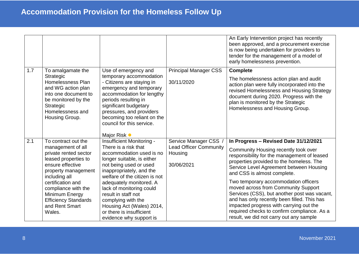|     |                                                                                                                                                                                                                                                                                |                                                                                                                                                                                                                                                                                                                                                                                            |                                                                               | An Early Intervention project has recently<br>been approved, and a procurement exercise<br>is now being undertaken for providers to<br>tender for the management of a model of<br>early homelessness prevention.                                                                                                                                                                                                                                                                                                                                                      |
|-----|--------------------------------------------------------------------------------------------------------------------------------------------------------------------------------------------------------------------------------------------------------------------------------|--------------------------------------------------------------------------------------------------------------------------------------------------------------------------------------------------------------------------------------------------------------------------------------------------------------------------------------------------------------------------------------------|-------------------------------------------------------------------------------|-----------------------------------------------------------------------------------------------------------------------------------------------------------------------------------------------------------------------------------------------------------------------------------------------------------------------------------------------------------------------------------------------------------------------------------------------------------------------------------------------------------------------------------------------------------------------|
| 1.7 | To amalgamate the<br><b>Strategic</b><br>Homelessness Plan<br>and WG action plan<br>into one document to<br>be monitored by the<br><b>Strategic</b><br>Homelessness and<br>Housing Group.                                                                                      | Use of emergency and<br>temporary accommodation<br>- Citizens are staying in<br>emergency and temporary<br>accommodation for lengthy<br>periods resulting in<br>significant budgetary<br>pressures, and providers<br>becoming too reliant on the<br>council for this service.<br>Major Risk ●                                                                                              | <b>Principal Manager CSS</b><br>30/11/2020                                    | <b>Complete</b><br>The homelessness action plan and audit<br>action plan were fully incorporated into the<br>revised Homelessness and Housing Strategy<br>document during 2020. Progress with the<br>plan is monitored by the Strategic<br>Homelessness and Housing Group.                                                                                                                                                                                                                                                                                            |
| 2.1 | To contract out the<br>management of all<br>private rented sector<br>leased properties to<br>ensure effective<br>property management<br>including all<br>certification and<br>compliance with the<br>Minimum Energy<br><b>Efficiency Standards</b><br>and Rent Smart<br>Wales. | Insufficient Monitoring -<br>There is a risk that<br>accommodation used is no<br>longer suitable, is either<br>not being used or used<br>inappropriately, and the<br>welfare of the citizen is not<br>adequately monitored. A<br>lack of monitoring could<br>result in staff not<br>complying with the<br>Housing Act (Wales) 2014,<br>or there is insufficient<br>evidence why support is | Service Manager CSS<br><b>Lead Officer Community</b><br>Housing<br>30/06/2021 | In Progress - Revised Date 31/12/2021<br>Community Housing recently took over<br>responsibility for the management of leased<br>properties provided to the homeless. The<br>Service Level Agreement between Housing<br>and CSS is almost complete.<br>Two temporary accommodation officers<br>moved across from Community Support<br>Services (CSS), but another post was vacant,<br>and has only recently been filled. This has<br>impacted progress with carrying out the<br>required checks to confirm compliance. As a<br>result, we did not carry out any sample |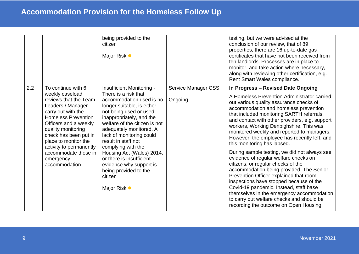|     |                                                                                                                                                                                                                                                                                                    | being provided to the<br>citizen<br>Major Risk •                                                                                                                                                                                                                                                                                                                                                                    |                                       | testing, but we were advised at the<br>conclusion of our review, that of 89<br>properties, there are 16 up-to-date gas<br>certificates that have not been received from<br>ten landlords. Processes are in place to<br>monitor, and take action where necessary,<br>along with reviewing other certification, e.g.<br>Rent Smart Wales compliance.                                                                                                                                                                                                                                                                      |
|-----|----------------------------------------------------------------------------------------------------------------------------------------------------------------------------------------------------------------------------------------------------------------------------------------------------|---------------------------------------------------------------------------------------------------------------------------------------------------------------------------------------------------------------------------------------------------------------------------------------------------------------------------------------------------------------------------------------------------------------------|---------------------------------------|-------------------------------------------------------------------------------------------------------------------------------------------------------------------------------------------------------------------------------------------------------------------------------------------------------------------------------------------------------------------------------------------------------------------------------------------------------------------------------------------------------------------------------------------------------------------------------------------------------------------------|
| 2.2 | weekly caseload<br>reviews that the Team<br>Leaders / Manager<br>carry out with the<br><b>Homeless Prevention</b><br>Officers and a weekly<br>quality monitoring<br>check has been put in<br>place to monitor the<br>activity to permanently<br>accommodate those in<br>emergency<br>accommodation | Insufficient Monitoring -<br>There is a risk that<br>accommodation used is no<br>longer suitable, is either<br>not being used or used<br>inappropriately, and the<br>welfare of the citizen is not<br>adequately monitored. A<br>lack of monitoring could<br>result in staff not<br>complying with the<br>Housing Act (Wales) 2014,<br>or there is insufficient<br>evidence why support is<br>being provided to the | <b>Service Manager CSS</b><br>Ongoing | In Progress - Revised Date Ongoing<br>A Homeless Prevention Administrator carried<br>out various quality assurance checks of<br>accommodation and homeless prevention<br>that included monitoring SARTH referrals,<br>and contact with other providers, e.g. support<br>workers, Working Denbighshire. This was<br>monitored weekly and reported to managers.<br>However, the employee has recently left, and<br>this monitoring has lapsed.<br>During sample testing, we did not always see<br>evidence of regular welfare checks on<br>citizens, or regular checks of the<br>accommodation being provided. The Senior |
|     |                                                                                                                                                                                                                                                                                                    | citizen<br>Major Risk ●                                                                                                                                                                                                                                                                                                                                                                                             |                                       | Prevention Officer explained that room<br>inspections have stopped because of the<br>Covid-19 pandemic. Instead, staff base<br>themselves in the emergency accommodation<br>to carry out welfare checks and should be<br>recording the outcome on Open Housing.                                                                                                                                                                                                                                                                                                                                                         |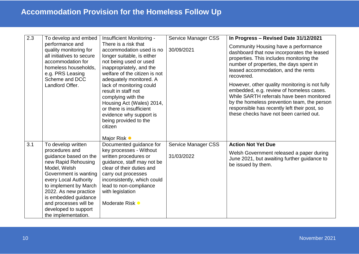| 2.3 | To develop and embed                                                                                                                                                                                                                                                               | Insufficient Monitoring -                                                                                                                                                                                                                                                                                                                                                                                         | <b>Service Manager CSS</b> | In Progress - Revised Date 31/12/2021                                                                                                                                                                                                                                                                                                                                                                                                                                                                               |
|-----|------------------------------------------------------------------------------------------------------------------------------------------------------------------------------------------------------------------------------------------------------------------------------------|-------------------------------------------------------------------------------------------------------------------------------------------------------------------------------------------------------------------------------------------------------------------------------------------------------------------------------------------------------------------------------------------------------------------|----------------------------|---------------------------------------------------------------------------------------------------------------------------------------------------------------------------------------------------------------------------------------------------------------------------------------------------------------------------------------------------------------------------------------------------------------------------------------------------------------------------------------------------------------------|
|     | performance and<br>quality monitoring for<br>all initiatives to secure<br>accommodation for<br>homeless households,<br>e.g. PRS Leasing<br>Scheme and DCC<br>Landlord Offer.                                                                                                       | There is a risk that<br>accommodation used is no<br>longer suitable, is either<br>not being used or used<br>inappropriately, and the<br>welfare of the citizen is not<br>adequately monitored. A<br>lack of monitoring could<br>result in staff not<br>complying with the<br>Housing Act (Wales) 2014,<br>or there is insufficient<br>evidence why support is<br>being provided to the<br>citizen<br>Major Risk • | 30/09/2021                 | Community Housing have a performance<br>dashboard that now incorporates the leased<br>properties. This includes monitoring the<br>number of properties, the days spent in<br>leased accommodation, and the rents<br>recovered.<br>However, other quality monitoring is not fully<br>embedded, e.g. review of homeless cases.<br>While SARTH referrals have been monitored<br>by the homeless prevention team, the person<br>responsible has recently left their post, so<br>these checks have not been carried out. |
| 3.1 | To develop written                                                                                                                                                                                                                                                                 | Documented guidance for                                                                                                                                                                                                                                                                                                                                                                                           | Service Manager CSS        | <b>Action Not Yet Due</b>                                                                                                                                                                                                                                                                                                                                                                                                                                                                                           |
|     | procedures and<br>guidance based on the<br>new Rapid Rehousing<br>Model, Welsh<br>Government is wanting<br>every Local Authority<br>to implement by March<br>2022. As new practice<br>is embedded guidance<br>and processes will be<br>developed to support<br>the implementation. | key processes - Without<br>written procedures or<br>guidance, staff may not be<br>clear of their duties and<br>carry out processes<br>inconsistently, which could<br>lead to non-compliance<br>with legislation<br>Moderate Risk <b>O</b>                                                                                                                                                                         | 31/03/2022                 | Welsh Government released a paper during<br>June 2021, but awaiting further guidance to<br>be issued by them.                                                                                                                                                                                                                                                                                                                                                                                                       |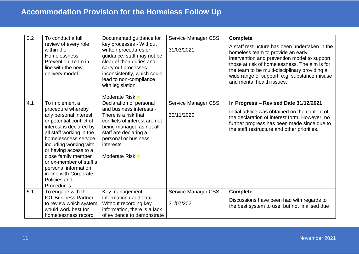| 3.2 | To conduct a full<br>review of every role<br>within the<br><b>Homelessness</b><br><b>Prevention Team in</b><br>line with the new<br>delivery model.                                                                                                                                                                                          | Documented guidance for<br>key processes - Without<br>written procedures or<br>guidance, staff may not be<br>clear of their duties and<br>carry out processes<br>inconsistently, which could<br>lead to non-compliance | <b>Service Manager CSS</b><br>31/03/2021 | <b>Complete</b><br>A staff restructure has been undertaken in the<br>homeless team to provide an early<br>intervention and prevention model to support<br>those at risk of homelessness. The aim is for<br>the team to be multi-disciplinary providing a<br>wide range of support, e.g. substance misuse<br>and mental health issues. |
|-----|----------------------------------------------------------------------------------------------------------------------------------------------------------------------------------------------------------------------------------------------------------------------------------------------------------------------------------------------|------------------------------------------------------------------------------------------------------------------------------------------------------------------------------------------------------------------------|------------------------------------------|---------------------------------------------------------------------------------------------------------------------------------------------------------------------------------------------------------------------------------------------------------------------------------------------------------------------------------------|
|     |                                                                                                                                                                                                                                                                                                                                              | with legislation<br>Moderate Risk C                                                                                                                                                                                    |                                          |                                                                                                                                                                                                                                                                                                                                       |
| 4.1 | To implement a                                                                                                                                                                                                                                                                                                                               | Declaration of personal                                                                                                                                                                                                | <b>Service Manager CSS</b>               | In Progress - Revised Date 31/12/2021                                                                                                                                                                                                                                                                                                 |
|     | procedure whereby<br>any personal interest<br>or potential conflict of<br>interest is declared by<br>all staff working in the<br>homelessness service,<br>including working with<br>or having access to a<br>close family member<br>or ex-member of staff's<br>personal information,<br>in-line with Corporate<br>Policies and<br>Procedures | and business interests -<br>There is a risk that<br>conflicts of interest are not<br>being managed as not all<br>staff are declaring a<br>personal or business<br>interests<br>Moderate Risk •                         | 30/11/2020                               | Initial advice was obtained on the content of<br>the declaration of interest form. However, no<br>further progress has been made since due to<br>the staff restructure and other priorities.                                                                                                                                          |
| 5.1 | To engage with the<br><b>ICT Business Partner</b><br>to review which system<br>would work best for<br>homelessness record                                                                                                                                                                                                                    | Key management<br>information / audit trail -<br>Without recording key<br>information, there is a lack<br>of evidence to demonstrate                                                                                   | <b>Service Manager CSS</b><br>31/07/2021 | <b>Complete</b><br>Discussions have been had with regards to<br>the best system to use, but not finalised due                                                                                                                                                                                                                         |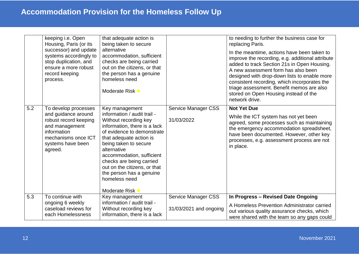|     | keeping i.e. Open<br>Housing, Paris (or its<br>successor) and update<br>systems accordingly to<br>stop duplication, and<br>ensure a more robust<br>record keeping<br>process. | that adequate action is<br>being taken to secure<br>alternative<br>accommodation, sufficient<br>checks are being carried<br>out on the citizens, or that<br>the person has a genuine<br>homeless need<br>Moderate Risk C                                                                                                                                       |                                                      | to needing to further the business case for<br>replacing Paris.<br>In the meantime, actions have been taken to<br>improve the recording, e.g. additional attribute<br>added to track Section 21s in Open Housing.<br>A new assessment form has also been<br>designed with drop-down lists to enable more<br>consistent recording, which incorporates the<br>triage assessment. Benefit memos are also<br>stored on Open Housing instead of the<br>network drive. |
|-----|-------------------------------------------------------------------------------------------------------------------------------------------------------------------------------|----------------------------------------------------------------------------------------------------------------------------------------------------------------------------------------------------------------------------------------------------------------------------------------------------------------------------------------------------------------|------------------------------------------------------|------------------------------------------------------------------------------------------------------------------------------------------------------------------------------------------------------------------------------------------------------------------------------------------------------------------------------------------------------------------------------------------------------------------------------------------------------------------|
| 5.2 | To develop processes<br>and guidance around<br>robust record keeping<br>and management<br>information<br>mechanisms once ICT<br>systems have been<br>agreed.                  | Key management<br>information / audit trail -<br>Without recording key<br>information, there is a lack<br>of evidence to demonstrate<br>that adequate action is<br>being taken to secure<br>alternative<br>accommodation, sufficient<br>checks are being carried<br>out on the citizens, or that<br>the person has a genuine<br>homeless need<br>Moderate Risk | <b>Service Manager CSS</b><br>31/03/2022             | <b>Not Yet Due</b><br>While the ICT system has not yet been<br>agreed, some processes such as maintaining<br>the emergency accommodation spreadsheet,<br>have been documented. However, other key<br>processes, e.g. assessment process are not<br>in place.                                                                                                                                                                                                     |
| 5.3 | To continue with<br>ongoing 6 weekly<br>caseload reviews for<br>each Homelessness                                                                                             | Key management<br>information / audit trail -<br>Without recording key<br>information, there is a lack                                                                                                                                                                                                                                                         | <b>Service Manager CSS</b><br>31/03/2021 and ongoing | In Progress - Revised Date Ongoing<br>A Homeless Prevention Administrator carried<br>out various quality assurance checks, which<br>were shared with the team so any gaps could                                                                                                                                                                                                                                                                                  |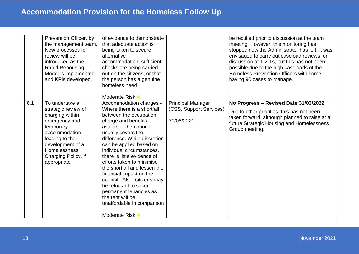|     | Prevention Officer, by<br>the management team.<br>New processes for<br>review will be<br>introduced as the<br><b>Rapid Rehousing</b><br>Model is implemented<br>and KPIs developed.                 | of evidence to demonstrate<br>that adequate action is<br>being taken to secure<br>alternative<br>accommodation, sufficient<br>checks are being carried<br>out on the citizens, or that<br>the person has a genuine<br>homeless need<br>Moderate Risk                                                                                                                                                                                                                                                                          |                                                                   | be rectified prior to discussion at the team<br>meeting. However, this monitoring has<br>stopped now the Administrator has left. It was<br>envisaged to carry out caseload reviews for<br>discussion at 1-2-1s, but this has not been<br>possible due to the high caseloads of the<br>Homeless Prevention Officers with some<br>having 90 cases to manage. |
|-----|-----------------------------------------------------------------------------------------------------------------------------------------------------------------------------------------------------|-------------------------------------------------------------------------------------------------------------------------------------------------------------------------------------------------------------------------------------------------------------------------------------------------------------------------------------------------------------------------------------------------------------------------------------------------------------------------------------------------------------------------------|-------------------------------------------------------------------|------------------------------------------------------------------------------------------------------------------------------------------------------------------------------------------------------------------------------------------------------------------------------------------------------------------------------------------------------------|
| 6.1 | To undertake a<br>strategic review of<br>charging within<br>emergency and<br>temporary<br>accommodation<br>leading to the<br>development of a<br>Homelessness<br>Charging Policy, if<br>appropriate | Accommodation charges -<br>Where there is a shortfall<br>between the occupation<br>charge and benefits<br>available, the council<br>usually covers the<br>difference. While discretion<br>can be applied based on<br>individual circumstances,<br>there is little evidence of<br>efforts taken to minimise<br>the shortfall and lessen the<br>financial impact on the<br>council. Also, citizens may<br>be reluctant to secure<br>permanent tenancies as<br>the rent will be<br>unaffordable in comparison<br>Moderate Risk O | <b>Principal Manager</b><br>(CSS, Support Services)<br>30/06/2021 | No Progress - Revised Date 31/03/2022<br>Due to other priorities, this has not been<br>taken forward, although planned to raise at a<br>future Strategic Housing and Homelessness<br>Group meeting.                                                                                                                                                        |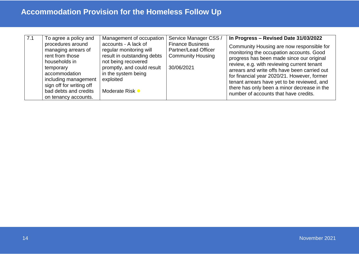| 7.1 | To agree a policy and                                                                                                                                                                                           | Management of occupation                                                                                                                                                                   | Service Manager CSS /                                                                     | In Progress - Revised Date 31/03/2022                                                                                                                                                                                                                                                                                                                                                                                  |
|-----|-----------------------------------------------------------------------------------------------------------------------------------------------------------------------------------------------------------------|--------------------------------------------------------------------------------------------------------------------------------------------------------------------------------------------|-------------------------------------------------------------------------------------------|------------------------------------------------------------------------------------------------------------------------------------------------------------------------------------------------------------------------------------------------------------------------------------------------------------------------------------------------------------------------------------------------------------------------|
|     | procedures around<br>managing arrears of<br>rent from those<br>households in<br>temporary<br>accommodation<br>including management<br>sign off for writing off<br>bad debts and credits<br>on tenancy accounts. | accounts - A lack of<br>regular monitoring will<br>result in outstanding debts<br>not being recovered<br>promptly, and could result<br>in the system being<br>exploited<br>Moderate Risk • | <b>Finance Business</b><br>Partner/Lead Officer<br><b>Community Housing</b><br>30/06/2021 | Community Housing are now responsible for<br>monitoring the occupation accounts. Good<br>progress has been made since our original<br>review, e.g. with reviewing current tenant<br>arrears and write offs have been carried out<br>for financial year 2020/21. However, former<br>tenant arrears have yet to be reviewed, and<br>there has only been a minor decrease in the<br>number of accounts that have credits. |